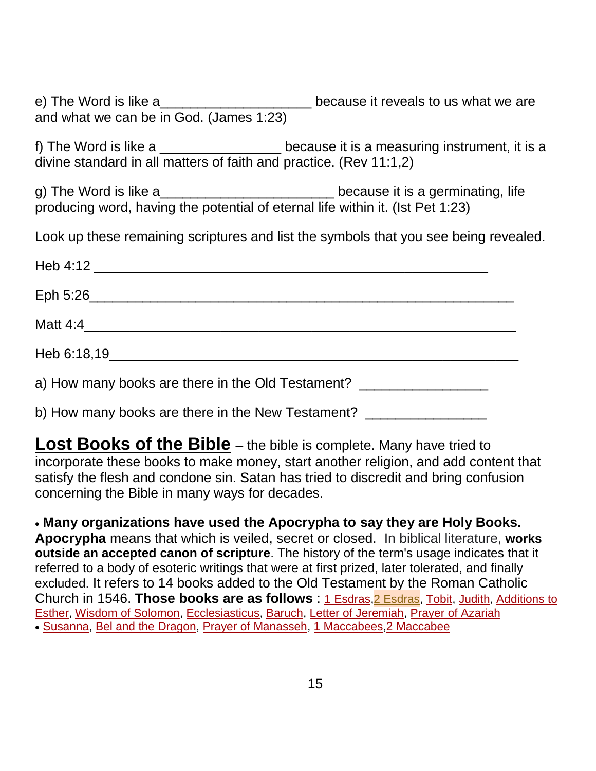e) The Word is like a\_\_\_\_\_\_\_\_\_\_\_\_\_\_\_\_\_\_\_\_\_\_\_\_ because it reveals to us what we are and what we can be in God. (James 1:23)

f) The Word is like a \_\_\_\_\_\_\_\_\_\_\_\_\_\_\_\_\_\_ because it is a measuring instrument, it is a divine standard in all matters of faith and practice. (Rev 11:1,2)

g) The Word is like a\_\_\_\_\_\_\_\_\_\_\_\_\_\_\_\_\_\_\_\_\_\_\_\_\_\_\_\_\_because it is a germinating, life producing word, having the potential of eternal life within it. (Ist Pet 1:23)

Look up these remaining scriptures and list the symbols that you see being revealed.

| a) How many books are there in the Old Testament? |  |
|---------------------------------------------------|--|

b) How many books are there in the New Testament?

**Lost Books of the Bible** – the bible is complete. Many have tried to incorporate these books to make money, start another religion, and add content that satisfy the flesh and condone sin. Satan has tried to discredit and bring confusion concerning the Bible in many ways for decades.

 **Many organizations have used the Apocrypha to say they are Holy Books. Apocrypha** means that which is veiled, secret or closed. In biblical literature, **works outside an accepted canon of scripture**. The history of the term's usage indicates that it referred to a body of esoteric writings that were at first prized, later tolerated, and finally excluded. It refers to 14 books added to the Old Testament by the Roman Catholic Church in 1546. **Those books are as follows** : 1 [Esdras,](https://www.kingjamesbibleonline.org/1-Esdras-Chapter-1/)2 [Esdras,](https://www.kingjamesbibleonline.org/2-Esdras-Chapter-1/) [Tobit,](https://www.kingjamesbibleonline.org/Tobit-Chapter-1/) [Judith,](https://www.kingjamesbibleonline.org/Judith-Chapter-1/) [Additions](https://www.kingjamesbibleonline.org/Additions-to-Esther-Chapter-10/) to [Esther,](https://www.kingjamesbibleonline.org/Additions-to-Esther-Chapter-10/) Wisdom of [Solomon,](https://www.kingjamesbibleonline.org/Wisdom-of-Solomon-Chapter-1/) [Ecclesiasticus,](https://www.kingjamesbibleonline.org/Ecclesiasticus-Chapter-1/) [Baruch,](https://www.kingjamesbibleonline.org/Baruch-Chapter-1/) Letter of [Jeremiah,](https://www.kingjamesbibleonline.org/Letter-of-Jeremiah-Chapter-1/) Prayer of [Azariah](https://www.kingjamesbibleonline.org/Prayer-of-Azariah-Chapter-1/) [Susanna,](https://www.kingjamesbibleonline.org/Susanna-Chapter-1/) Bel and the [Dragon,](https://www.kingjamesbibleonline.org/Bel-and-the-Dragon-Chapter-1/) Prayer of [Manasseh,](https://www.kingjamesbibleonline.org/Prayer-of-Manasseh-Chapter-1/) 1 [Maccabees,](https://www.kingjamesbibleonline.org/1-Maccabees-Chapter-1/)2 [Maccabee](https://www.kingjamesbibleonline.org/2-Maccabees-Chapter-1/)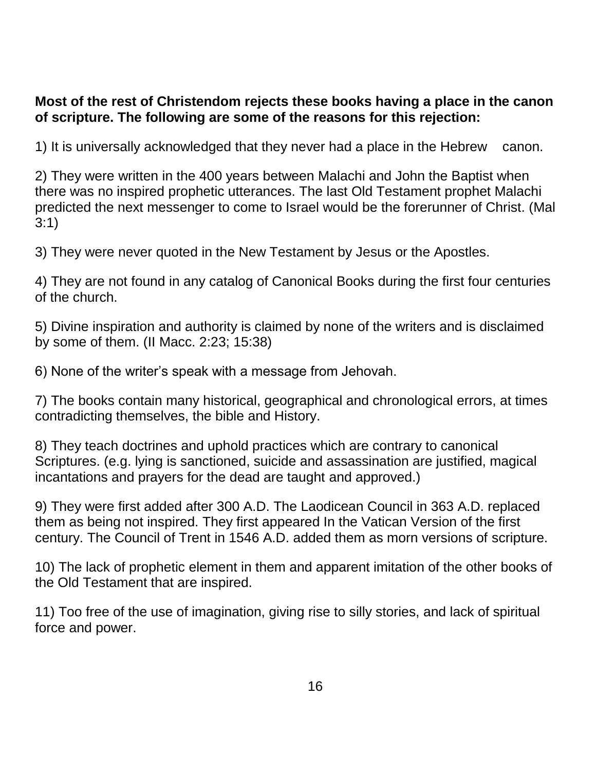## **Most of the rest of Christendom rejects these books having a place in the canon of scripture. The following are some of the reasons for this rejection:**

1) It is universally acknowledged that they never had a place in the Hebrew canon.

2) They were written in the 400 years between Malachi and John the Baptist when there was no inspired prophetic utterances. The last Old Testament prophet Malachi predicted the next messenger to come to Israel would be the forerunner of Christ. (Mal 3:1)

3) They were never quoted in the New Testament by Jesus or the Apostles.

4) They are not found in any catalog of Canonical Books during the first four centuries of the church.

5) Divine inspiration and authority is claimed by none of the writers and is disclaimed by some of them. (II Macc. 2:23; 15:38)

6) None of the writer's speak with a message from Jehovah.

7) The books contain many historical, geographical and chronological errors, at times contradicting themselves, the bible and History.

8) They teach doctrines and uphold practices which are contrary to canonical Scriptures. (e.g. lying is sanctioned, suicide and assassination are justified, magical incantations and prayers for the dead are taught and approved.)

9) They were first added after 300 A.D. The Laodicean Council in 363 A.D. replaced them as being not inspired. They first appeared In the Vatican Version of the first century. The Council of Trent in 1546 A.D. added them as morn versions of scripture.

10) The lack of prophetic element in them and apparent imitation of the other books of the Old Testament that are inspired.

11) Too free of the use of imagination, giving rise to silly stories, and lack of spiritual force and power.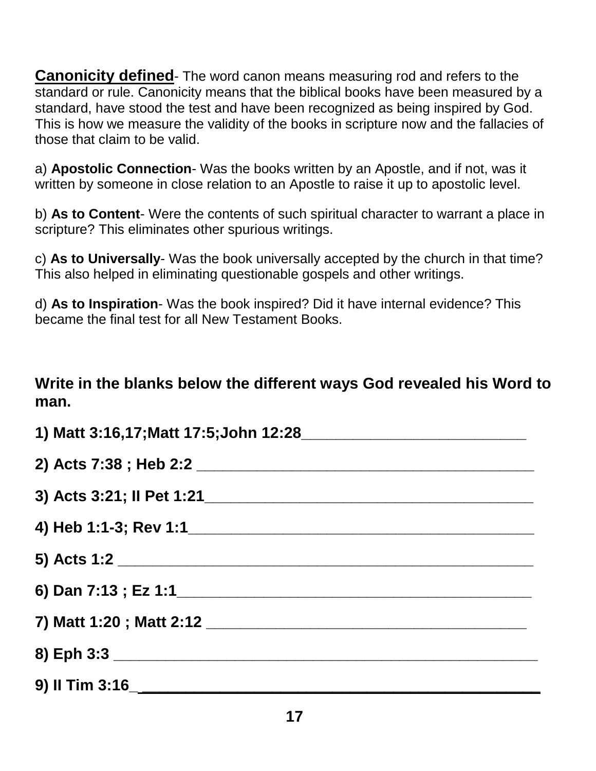**Canonicity defined**- The word canon means measuring rod and refers to the standard or rule. Canonicity means that the biblical books have been measured by a standard, have stood the test and have been recognized as being inspired by God. This is how we measure the validity of the books in scripture now and the fallacies of those that claim to be valid.

a) **Apostolic Connection**- Was the books written by an Apostle, and if not, was it written by someone in close relation to an Apostle to raise it up to apostolic level.

b) **As to Content**- Were the contents of such spiritual character to warrant a place in scripture? This eliminates other spurious writings.

c) **As to Universally**- Was the book universally accepted by the church in that time? This also helped in eliminating questionable gospels and other writings.

d) **As to Inspiration**- Was the book inspired? Did it have internal evidence? This became the final test for all New Testament Books.

## **Write in the blanks below the different ways God revealed his Word to man.**

| 5) Acts 1:2 |  |
|-------------|--|
|             |  |
|             |  |
| 8) Eph 3:3  |  |
|             |  |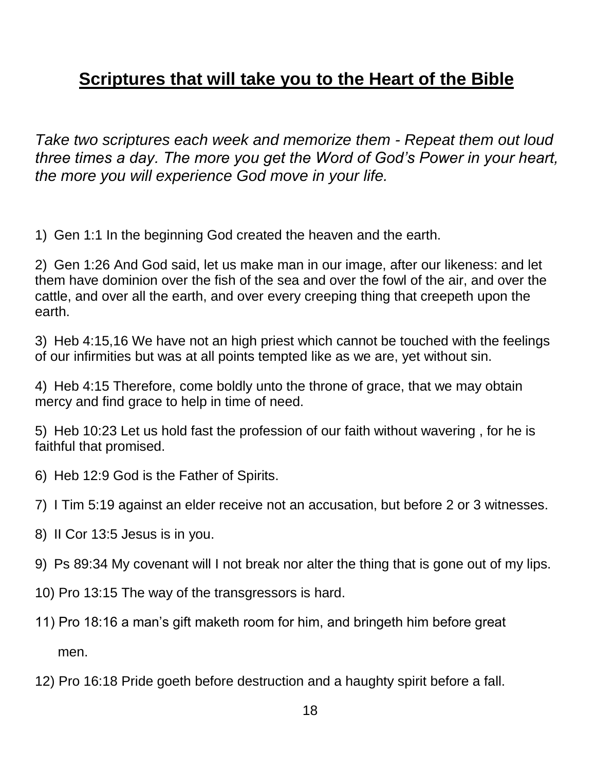## **Scriptures that will take you to the Heart of the Bible**

*Take two scriptures each week and memorize them - Repeat them out loud three times a day. The more you get the Word of God's Power in your heart, the more you will experience God move in your life.*

1) Gen 1:1 In the beginning God created the heaven and the earth.

2) Gen 1:26 And God said, let us make man in our image, after our likeness: and let them have dominion over the fish of the sea and over the fowl of the air, and over the cattle, and over all the earth, and over every creeping thing that creepeth upon the earth.

3) Heb 4:15,16 We have not an high priest which cannot be touched with the feelings of our infirmities but was at all points tempted like as we are, yet without sin.

4) Heb 4:15 Therefore, come boldly unto the throne of grace, that we may obtain mercy and find grace to help in time of need.

5) Heb 10:23 Let us hold fast the profession of our faith without wavering , for he is faithful that promised.

- 6) Heb 12:9 God is the Father of Spirits.
- 7) I Tim 5:19 against an elder receive not an accusation, but before 2 or 3 witnesses.
- 8) II Cor 13:5 Jesus is in you.
- 9) Ps 89:34 My covenant will I not break nor alter the thing that is gone out of my lips.
- 10) Pro 13:15 The way of the transgressors is hard.
- 11) Pro 18:16 a man's gift maketh room for him, and bringeth him before great men.
- 12) Pro 16:18 Pride goeth before destruction and a haughty spirit before a fall.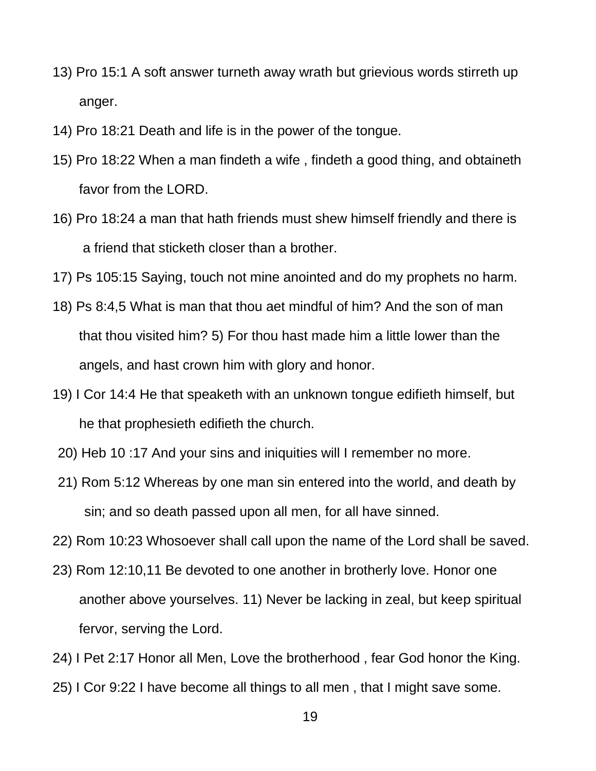- 13) Pro 15:1 A soft answer turneth away wrath but grievious words stirreth up anger.
- 14) Pro 18:21 Death and life is in the power of the tongue.
- 15) Pro 18:22 When a man findeth a wife , findeth a good thing, and obtaineth favor from the LORD.
- 16) Pro 18:24 a man that hath friends must shew himself friendly and there is a friend that sticketh closer than a brother.
- 17) Ps 105:15 Saying, touch not mine anointed and do my prophets no harm.
- 18) Ps 8:4,5 What is man that thou aet mindful of him? And the son of man that thou visited him? 5) For thou hast made him a little lower than the angels, and hast crown him with glory and honor.
- 19) I Cor 14:4 He that speaketh with an unknown tongue edifieth himself, but he that prophesieth edifieth the church.
- 20) Heb 10 :17 And your sins and iniquities will I remember no more.
- 21) Rom 5:12 Whereas by one man sin entered into the world, and death by sin; and so death passed upon all men, for all have sinned.
- 22) Rom 10:23 Whosoever shall call upon the name of the Lord shall be saved.
- 23) Rom 12:10,11 Be devoted to one another in brotherly love. Honor one another above yourselves. 11) Never be lacking in zeal, but keep spiritual fervor, serving the Lord.
- 24) I Pet 2:17 Honor all Men, Love the brotherhood , fear God honor the King.
- 25) I Cor 9:22 I have become all things to all men , that I might save some.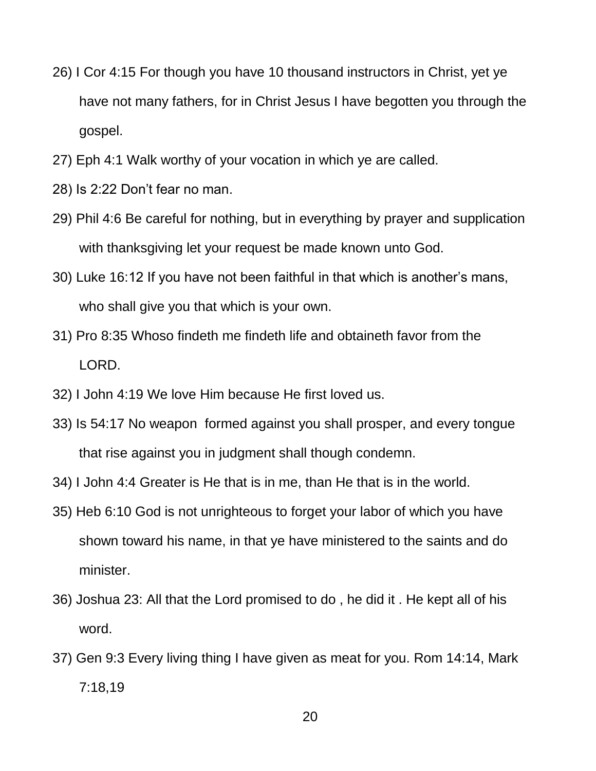- 26) I Cor 4:15 For though you have 10 thousand instructors in Christ, yet ye have not many fathers, for in Christ Jesus I have begotten you through the gospel.
- 27) Eph 4:1 Walk worthy of your vocation in which ye are called.
- 28) Is 2:22 Don't fear no man.
- 29) Phil 4:6 Be careful for nothing, but in everything by prayer and supplication with thanksgiving let your request be made known unto God.
- 30) Luke 16:12 If you have not been faithful in that which is another's mans, who shall give you that which is your own.
- 31) Pro 8:35 Whoso findeth me findeth life and obtaineth favor from the LORD.
- 32) I John 4:19 We love Him because He first loved us.
- 33) Is 54:17 No weapon formed against you shall prosper, and every tongue that rise against you in judgment shall though condemn.
- 34) I John 4:4 Greater is He that is in me, than He that is in the world.
- 35) Heb 6:10 God is not unrighteous to forget your labor of which you have shown toward his name, in that ye have ministered to the saints and do minister.
- 36) Joshua 23: All that the Lord promised to do , he did it . He kept all of his word.
- 37) Gen 9:3 Every living thing I have given as meat for you. Rom 14:14, Mark 7:18,19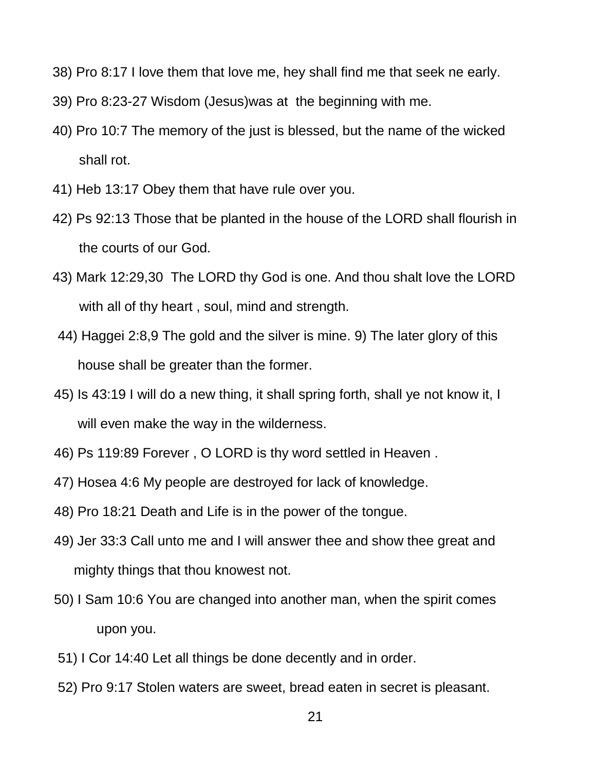- 38) Pro 8:17 I love them that love me, hey shall find me that seek ne early.
- 39) Pro 8:23-27 Wisdom (Jesus)was at the beginning with me.
- 40) Pro 10:7 The memory of the just is blessed, but the name of the wicked shall rot.
- 41) Heb 13:17 Obey them that have rule over you.
- 42) Ps 92:13 Those that be planted in the house of the LORD shall flourish in the courts of our God.
- 43) Mark 12:29,30 The LORD thy God is one. And thou shalt love the LORD with all of thy heart , soul, mind and strength.
- 44) Haggei 2:8,9 The gold and the silver is mine. 9) The later glory of this house shall be greater than the former.
- 45) Is 43:19 I will do a new thing, it shall spring forth, shall ye not know it, I will even make the way in the wilderness.
- 46) Ps 119:89 Forever , O LORD is thy word settled in Heaven .
- 47) Hosea 4:6 My people are destroyed for lack of knowledge.
- 48) Pro 18:21 Death and Life is in the power of the tongue.
- 49) Jer 33:3 Call unto me and I will answer thee and show thee great and mighty things that thou knowest not.
- 50) I Sam 10:6 You are changed into another man, when the spirit comes upon you.
- 51) I Cor 14:40 Let all things be done decently and in order.
- 52) Pro 9:17 Stolen waters are sweet, bread eaten in secret is pleasant.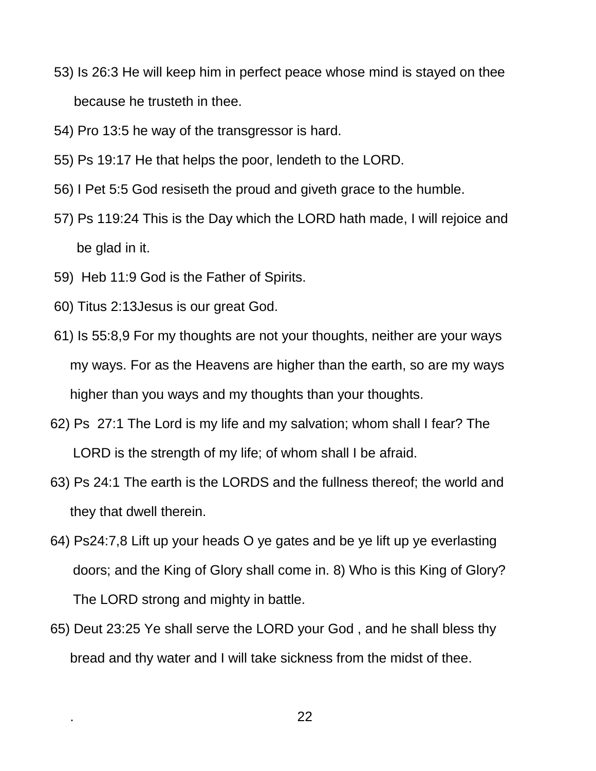- 53) Is 26:3 He will keep him in perfect peace whose mind is stayed on thee because he trusteth in thee.
- 54) Pro 13:5 he way of the transgressor is hard.
- 55) Ps 19:17 He that helps the poor, lendeth to the LORD.
- 56) I Pet 5:5 God resiseth the proud and giveth grace to the humble.
- 57) Ps 119:24 This is the Day which the LORD hath made, I will rejoice and be glad in it.
- 59) Heb 11:9 God is the Father of Spirits.
- 60) Titus 2:13Jesus is our great God.
- 61) Is 55:8,9 For my thoughts are not your thoughts, neither are your ways my ways. For as the Heavens are higher than the earth, so are my ways higher than you ways and my thoughts than your thoughts.
- 62) Ps 27:1 The Lord is my life and my salvation; whom shall I fear? The LORD is the strength of my life; of whom shall I be afraid.
- 63) Ps 24:1 The earth is the LORDS and the fullness thereof; the world and they that dwell therein.
- 64) Ps24:7,8 Lift up your heads O ye gates and be ye lift up ye everlasting doors; and the King of Glory shall come in. 8) Who is this King of Glory? The LORD strong and mighty in battle.
- 65) Deut 23:25 Ye shall serve the LORD your God , and he shall bless thy bread and thy water and I will take sickness from the midst of thee.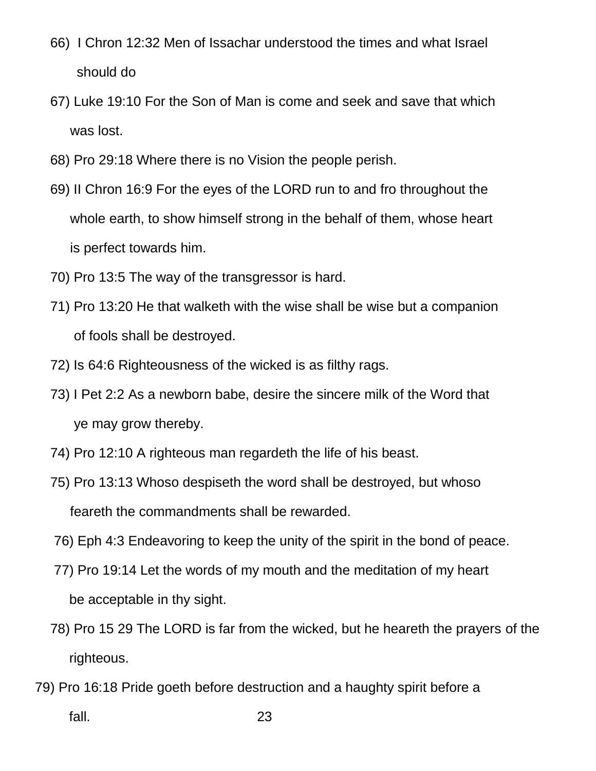- 66) I Chron 12:32 Men of Issachar understood the times and what Israel should do
- 67) Luke 19:10 For the Son of Man is come and seek and save that which was lost.
- 68) Pro 29:18 Where there is no Vision the people perish.
- 69) II Chron 16:9 For the eyes of the LORD run to and fro throughout the whole earth, to show himself strong in the behalf of them, whose heart is perfect towards him.
- 70) Pro 13:5 The way of the transgressor is hard.
- 71) Pro 13:20 He that walketh with the wise shall be wise but a companion of fools shall be destroyed.
- 72) Is 64:6 Righteousness of the wicked is as filthy rags.
- 73) I Pet 2:2 As a newborn babe, desire the sincere milk of the Word that ye may grow thereby.
- 74) Pro 12:10 A righteous man regardeth the life of his beast.
- 75) Pro 13:13 Whoso despiseth the word shall be destroyed, but whoso feareth the commandments shall be rewarded.
- 76) Eph 4:3 Endeavoring to keep the unity of the spirit in the bond of peace.
- 77) Pro 19:14 Let the words of my mouth and the meditation of my heart be acceptable in thy sight.
- 78) Pro 15 29 The LORD is far from the wicked, but he heareth the prayers of the righteous.
- 79) Pro 16:18 Pride goeth before destruction and a haughty spirit before a fall. 23